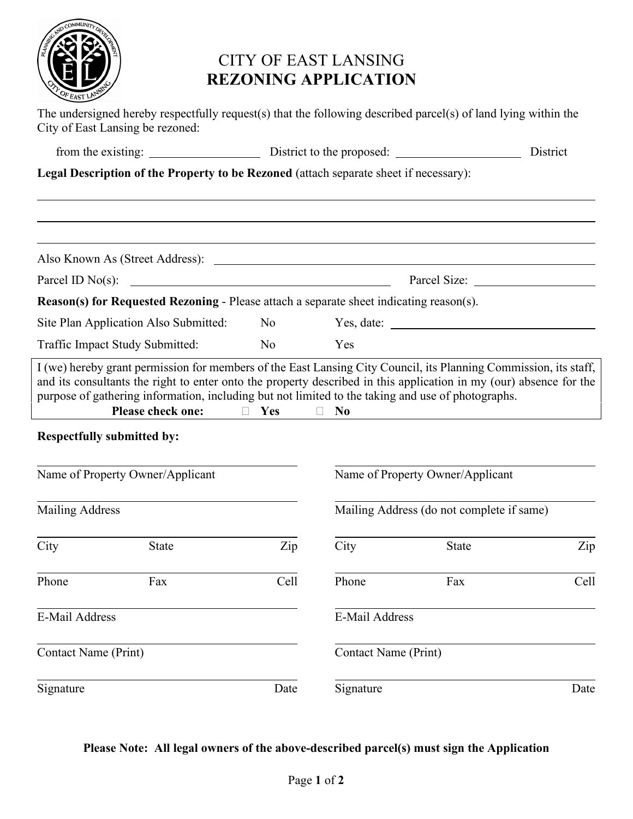

## CITY OF EAST LANSING **REZONING APPLICATION**

|                                  | The undersigned hereby respectfully request(s) that the following described parcel(s) of land lying within the<br>City of East Lansing be rezoned: |            |                                           |          |      |
|----------------------------------|----------------------------------------------------------------------------------------------------------------------------------------------------|------------|-------------------------------------------|----------|------|
|                                  |                                                                                                                                                    |            |                                           | District |      |
|                                  | Legal Description of the Property to be Rezoned (attach separate sheet if necessary):                                                              |            |                                           |          |      |
|                                  |                                                                                                                                                    |            |                                           |          |      |
| Parcel ID $No(s)$ :              |                                                                                                                                                    |            |                                           |          |      |
|                                  | <b>Reason(s) for Requested Rezoning - Please attach a separate sheet indicating reason(s).</b>                                                     |            |                                           |          |      |
|                                  | Site Plan Application Also Submitted:                                                                                                              | No         |                                           |          |      |
| Traffic Impact Study Submitted:  |                                                                                                                                                    | No         | Yes                                       |          |      |
|                                  | Please check one:<br><b>Respectfully submitted by:</b>                                                                                             | $\Box$ Yes | N <sub>0</sub>                            |          |      |
| Name of Property Owner/Applicant |                                                                                                                                                    |            | Name of Property Owner/Applicant          |          |      |
| <b>Mailing Address</b>           |                                                                                                                                                    |            | Mailing Address (do not complete if same) |          |      |
| City                             | <b>State</b>                                                                                                                                       | Zip        | City                                      | State    | Zip  |
| Phone                            | Fax                                                                                                                                                | Cell       | Phone                                     | Fax      | Cell |
| E-Mail Address                   |                                                                                                                                                    |            | E-Mail Address                            |          |      |
| <b>Contact Name (Print)</b>      |                                                                                                                                                    |            | <b>Contact Name (Print)</b>               |          |      |
| Signature                        |                                                                                                                                                    | Date       | Signature                                 |          | Date |

## **Please Note: All legal owners of the above-described parcel(s) must sign the Application**